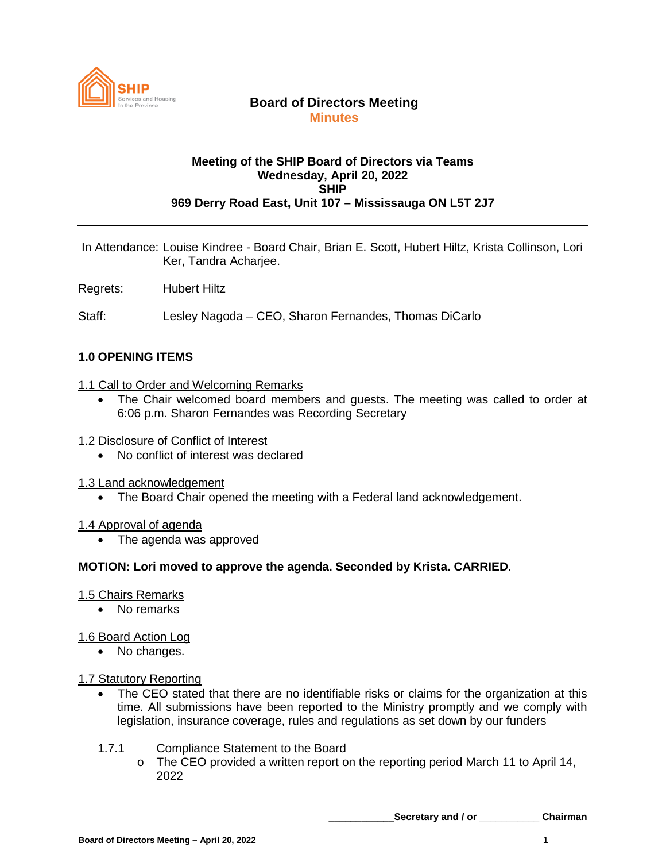

### **Board of Directors Meeting Minutes**

### **Meeting of the SHIP Board of Directors via Teams Wednesday, April 20, 2022 SHIP 969 Derry Road East, Unit 107 – Mississauga ON L5T 2J7**

In Attendance: Louise Kindree - Board Chair, Brian E. Scott, Hubert Hiltz, Krista Collinson, Lori Ker, Tandra Acharjee.

Regrets: Hubert Hiltz

Staff: Lesley Nagoda – CEO, Sharon Fernandes, Thomas DiCarlo

### **1.0 OPENING ITEMS**

#### 1.1 Call to Order and Welcoming Remarks

- The Chair welcomed board members and guests. The meeting was called to order at 6:06 p.m. Sharon Fernandes was Recording Secretary
- 1.2 Disclosure of Conflict of Interest
	- No conflict of interest was declared
- 1.3 Land acknowledgement
	- The Board Chair opened the meeting with a Federal land acknowledgement.

#### 1.4 Approval of agenda

• The agenda was approved

#### **MOTION: Lori moved to approve the agenda. Seconded by Krista. CARRIED**.

#### 1.5 Chairs Remarks

• No remarks

#### 1.6 Board Action Log

• No changes.

#### 1.7 Statutory Reporting

- The CEO stated that there are no identifiable risks or claims for the organization at this time. All submissions have been reported to the Ministry promptly and we comply with legislation, insurance coverage, rules and regulations as set down by our funders
- 1.7.1 Compliance Statement to the Board
	- $\circ$  The CEO provided a written report on the reporting period March 11 to April 14, 2022

**\_\_\_\_\_\_\_\_\_\_\_\_Secretary and / or \_\_\_\_\_\_\_\_\_\_\_ Chairman**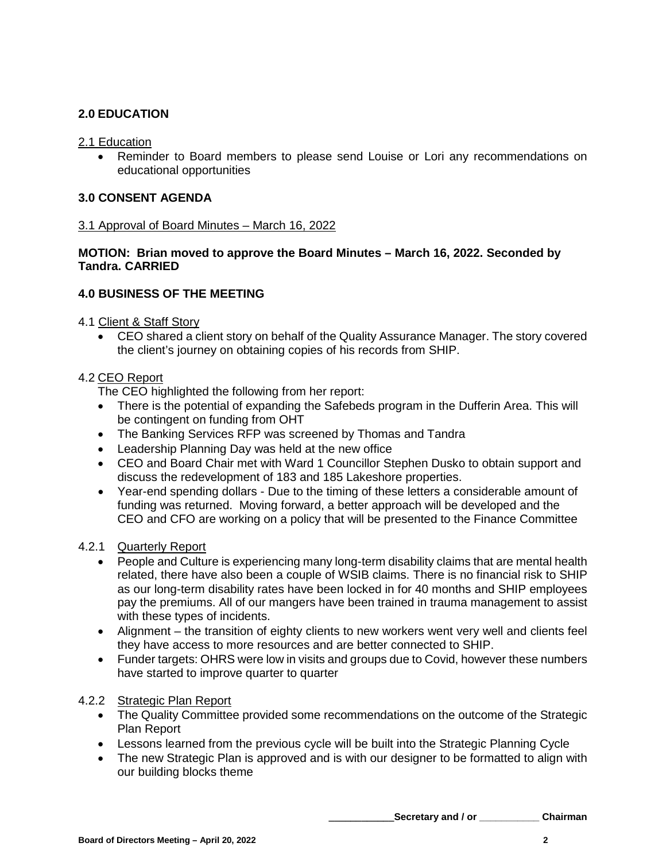# **2.0 EDUCATION**

### 2.1 Education

• Reminder to Board members to please send Louise or Lori any recommendations on educational opportunities

# **3.0 CONSENT AGENDA**

### 3.1 Approval of Board Minutes – March 16, 2022

### **MOTION: Brian moved to approve the Board Minutes – March 16, 2022. Seconded by Tandra. CARRIED**

# **4.0 BUSINESS OF THE MEETING**

4.1 Client & Staff Story

• CEO shared a client story on behalf of the Quality Assurance Manager. The story covered the client's journey on obtaining copies of his records from SHIP.

### 4.2 CEO Report

The CEO highlighted the following from her report:

- There is the potential of expanding the Safebeds program in the Dufferin Area. This will be contingent on funding from OHT
- The Banking Services RFP was screened by Thomas and Tandra
- Leadership Planning Day was held at the new office
- CEO and Board Chair met with Ward 1 Councillor Stephen Dusko to obtain support and discuss the redevelopment of 183 and 185 Lakeshore properties.
- Year-end spending dollars Due to the timing of these letters a considerable amount of funding was returned. Moving forward, a better approach will be developed and the CEO and CFO are working on a policy that will be presented to the Finance Committee

### 4.2.1 Quarterly Report

- People and Culture is experiencing many long-term disability claims that are mental health related, there have also been a couple of WSIB claims. There is no financial risk to SHIP as our long-term disability rates have been locked in for 40 months and SHIP employees pay the premiums. All of our mangers have been trained in trauma management to assist with these types of incidents.
- Alignment the transition of eighty clients to new workers went very well and clients feel they have access to more resources and are better connected to SHIP.
- Funder targets: OHRS were low in visits and groups due to Covid, however these numbers have started to improve quarter to quarter

# 4.2.2 Strategic Plan Report

- The Quality Committee provided some recommendations on the outcome of the Strategic Plan Report
- Lessons learned from the previous cycle will be built into the Strategic Planning Cycle
- The new Strategic Plan is approved and is with our designer to be formatted to align with our building blocks theme

**\_\_\_\_\_\_\_\_\_\_\_\_Secretary and / or \_\_\_\_\_\_\_\_\_\_\_ Chairman**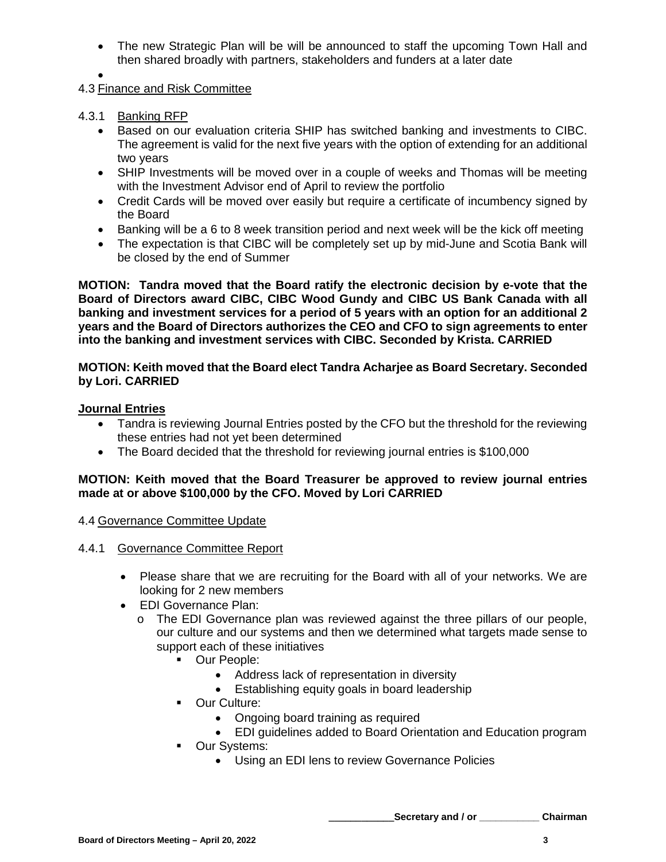- The new Strategic Plan will be will be announced to staff the upcoming Town Hall and then shared broadly with partners, stakeholders and funders at a later date
- •
- 4.3 Finance and Risk Committee

## 4.3.1 Banking RFP

- Based on our evaluation criteria SHIP has switched banking and investments to CIBC. The agreement is valid for the next five years with the option of extending for an additional two years
- SHIP Investments will be moved over in a couple of weeks and Thomas will be meeting with the Investment Advisor end of April to review the portfolio
- Credit Cards will be moved over easily but require a certificate of incumbency signed by the Board
- Banking will be a 6 to 8 week transition period and next week will be the kick off meeting
- The expectation is that CIBC will be completely set up by mid-June and Scotia Bank will be closed by the end of Summer

**MOTION: Tandra moved that the Board ratify the electronic decision by e-vote that the Board of Directors award CIBC, CIBC Wood Gundy and CIBC US Bank Canada with all banking and investment services for a period of 5 years with an option for an additional 2 years and the Board of Directors authorizes the CEO and CFO to sign agreements to enter into the banking and investment services with CIBC. Seconded by Krista. CARRIED**

### **MOTION: Keith moved that the Board elect Tandra Acharjee as Board Secretary. Seconded by Lori. CARRIED**

### **Journal Entries**

- Tandra is reviewing Journal Entries posted by the CFO but the threshold for the reviewing these entries had not yet been determined
- The Board decided that the threshold for reviewing journal entries is \$100,000

### **MOTION: Keith moved that the Board Treasurer be approved to review journal entries made at or above \$100,000 by the CFO. Moved by Lori CARRIED**

4.4 Governance Committee Update

### 4.4.1 Governance Committee Report

- Please share that we are recruiting for the Board with all of your networks. We are looking for 2 new members
- EDI Governance Plan:
	- o The EDI Governance plan was reviewed against the three pillars of our people, our culture and our systems and then we determined what targets made sense to support each of these initiatives
		- **-** Our People:
			- Address lack of representation in diversity
			- Establishing equity goals in board leadership
		- **•** Our Culture:
			- Ongoing board training as required
			- EDI guidelines added to Board Orientation and Education program
		- **•** Our Systems:
			- Using an EDI lens to review Governance Policies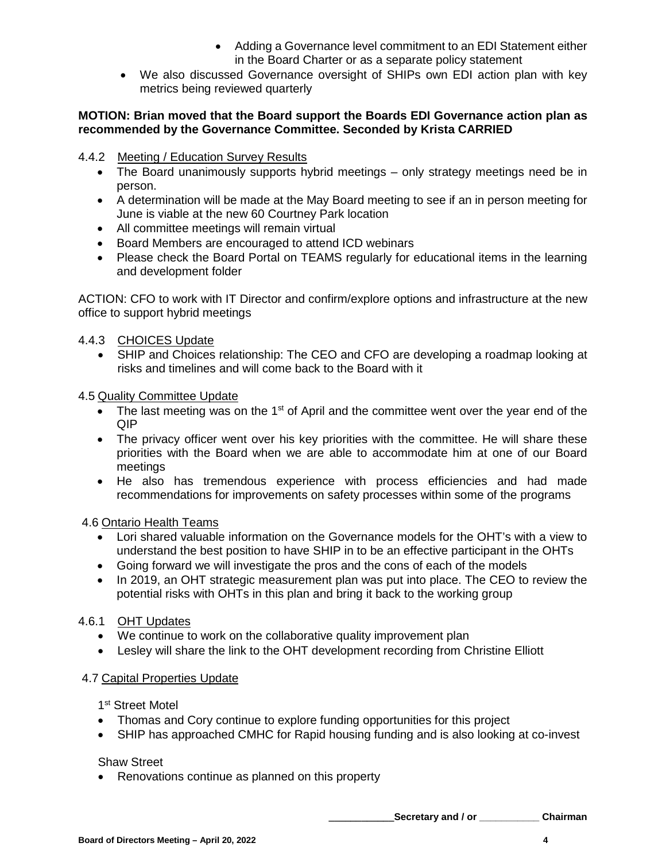- Adding a Governance level commitment to an EDI Statement either in the Board Charter or as a separate policy statement
- We also discussed Governance oversight of SHIPs own EDI action plan with key metrics being reviewed quarterly

### **MOTION: Brian moved that the Board support the Boards EDI Governance action plan as recommended by the Governance Committee. Seconded by Krista CARRIED**

## 4.4.2 Meeting / Education Survey Results

- The Board unanimously supports hybrid meetings only strategy meetings need be in person.
- A determination will be made at the May Board meeting to see if an in person meeting for June is viable at the new 60 Courtney Park location
- All committee meetings will remain virtual
- Board Members are encouraged to attend ICD webinars
- Please check the Board Portal on TEAMS regularly for educational items in the learning and development folder

ACTION: CFO to work with IT Director and confirm/explore options and infrastructure at the new office to support hybrid meetings

# 4.4.3 CHOICES Update

• SHIP and Choices relationship: The CEO and CFO are developing a roadmap looking at risks and timelines and will come back to the Board with it

### 4.5 Quality Committee Update

- The last meeting was on the 1<sup>st</sup> of April and the committee went over the year end of the QIP
- The privacy officer went over his key priorities with the committee. He will share these priorities with the Board when we are able to accommodate him at one of our Board meetings
- He also has tremendous experience with process efficiencies and had made recommendations for improvements on safety processes within some of the programs

### 4.6 Ontario Health Teams

- Lori shared valuable information on the Governance models for the OHT's with a view to understand the best position to have SHIP in to be an effective participant in the OHTs
- Going forward we will investigate the pros and the cons of each of the models
- In 2019, an OHT strategic measurement plan was put into place. The CEO to review the potential risks with OHTs in this plan and bring it back to the working group

### 4.6.1 OHT Updates

- We continue to work on the collaborative quality improvement plan
- Lesley will share the link to the OHT development recording from Christine Elliott

#### 4.7 Capital Properties Update

1<sup>st</sup> Street Motel

- Thomas and Cory continue to explore funding opportunities for this project
- SHIP has approached CMHC for Rapid housing funding and is also looking at co-invest

#### Shaw Street

• Renovations continue as planned on this property

**\_\_\_\_\_\_\_\_\_\_\_\_Secretary and / or \_\_\_\_\_\_\_\_\_\_\_ Chairman**